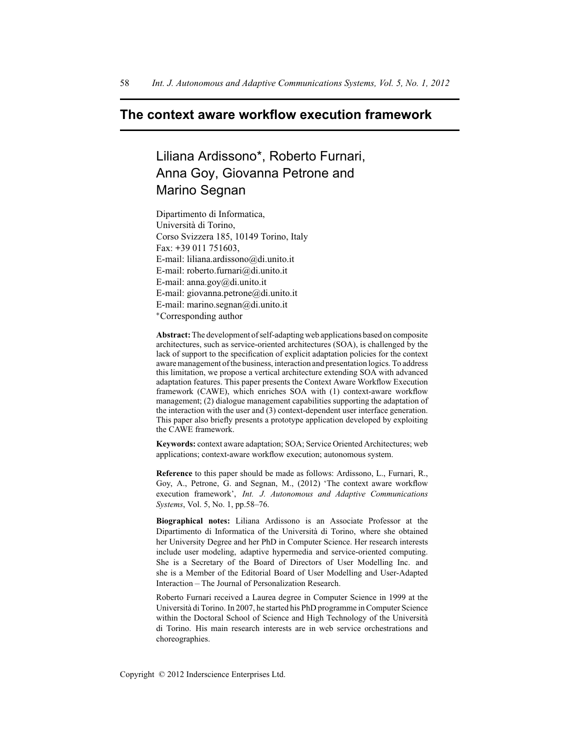## **The context aware workflow execution framework**

# Liliana Ardissono\*, Roberto Furnari, Anna Goy, Giovanna Petrone and Marino Segnan

Dipartimento di Informatica, Università di Torino, Corso Svizzera 185, 10149 Torino, Italy Fax: +39 011 751603, E-mail: liliana.ardissono@di.unito.it E-mail: roberto.furnari@di.unito.it E-mail: anna.goy@di.unito.it E-mail: giovanna.petrone@di.unito.it E-mail: marino.segnan@di.unito.it <sup>∗</sup>Corresponding author

**Abstract:**The development of self-adapting web applications based on composite architectures, such as service-oriented architectures (SOA), is challenged by the lack of support to the specification of explicit adaptation policies for the context aware management of the business, interaction and presentation logics. To address this limitation, we propose a vertical architecture extending SOA with advanced adaptation features. This paper presents the Context Aware Workflow Execution framework (CAWE), which enriches SOA with (1) context-aware workflow management; (2) dialogue management capabilities supporting the adaptation of the interaction with the user and (3) context-dependent user interface generation. This paper also briefly presents a prototype application developed by exploiting the CAWE framework.

**Keywords:** context aware adaptation; SOA; Service Oriented Architectures; web applications; context-aware workflow execution; autonomous system.

**Reference** to this paper should be made as follows: Ardissono, L., Furnari, R., Goy, A., Petrone, G. and Segnan, M., (2012) 'The context aware workflow execution framework', *Int. J. Autonomous and Adaptive Communications Systems*, Vol. 5, No. 1, pp.58–76.

**Biographical notes:** Liliana Ardissono is an Associate Professor at the Dipartimento di Informatica of the Università di Torino, where she obtained her University Degree and her PhD in Computer Science. Her research interests include user modeling, adaptive hypermedia and service-oriented computing. She is a Secretary of the Board of Directors of User Modelling Inc. and she is a Member of the Editorial Board of User Modelling and User-Adapted Interaction – The Journal of Personalization Research.

Roberto Furnari received a Laurea degree in Computer Science in 1999 at the Università di Torino. In 2007, he started his PhD programme in Computer Science within the Doctoral School of Science and High Technology of the Università di Torino. His main research interests are in web service orchestrations and choreographies.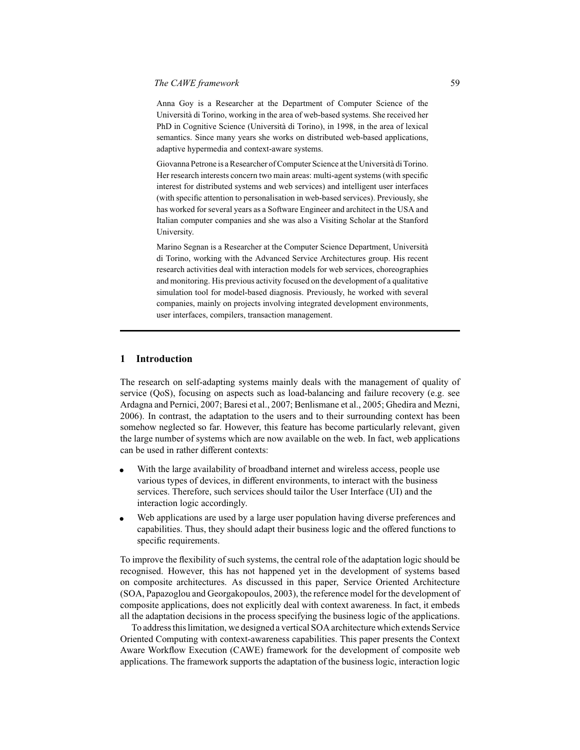Anna Goy is a Researcher at the Department of Computer Science of the Università di Torino, working in the area of web-based systems. She received her PhD in Cognitive Science (Università di Torino), in 1998, in the area of lexical semantics. Since many years she works on distributed web-based applications, adaptive hypermedia and context-aware systems.

Giovanna Petrone is a Researcher of Computer Science at the Università di Torino. Her research interests concern two main areas: multi-agent systems (with specific interest for distributed systems and web services) and intelligent user interfaces (with specific attention to personalisation in web-based services). Previously, she has worked for several years as a Software Engineer and architect in the USA and Italian computer companies and she was also a Visiting Scholar at the Stanford University.

Marino Segnan is a Researcher at the Computer Science Department, Università di Torino, working with the Advanced Service Architectures group. His recent research activities deal with interaction models for web services, choreographies and monitoring. His previous activity focused on the development of a qualitative simulation tool for model-based diagnosis. Previously, he worked with several companies, mainly on projects involving integrated development environments, user interfaces, compilers, transaction management.

## **1 Introduction**

The research on self-adapting systems mainly deals with the management of quality of service (QoS), focusing on aspects such as load-balancing and failure recovery (e.g. see Ardagna and Pernici, 2007; Baresi et al., 2007; Benlismane et al., 2005; Ghedira and Mezni, 2006). In contrast, the adaptation to the users and to their surrounding context has been somehow neglected so far. However, this feature has become particularly relevant, given the large number of systems which are now available on the web. In fact, web applications can be used in rather different contexts:

- With the large availability of broadband internet and wireless access, people use various types of devices, in different environments, to interact with the business services. Therefore, such services should tailor the User Interface (UI) and the interaction logic accordingly.
- Web applications are used by a large user population having diverse preferences and capabilities. Thus, they should adapt their business logic and the offered functions to specific requirements.

To improve the flexibility of such systems, the central role of the adaptation logic should be recognised. However, this has not happened yet in the development of systems based on composite architectures. As discussed in this paper, Service Oriented Architecture (SOA, Papazoglou and Georgakopoulos, 2003), the reference model for the development of composite applications, does not explicitly deal with context awareness. In fact, it embeds all the adaptation decisions in the process specifying the business logic of the applications.

To address this limitation, we designed a vertical SOA architecture which extends Service Oriented Computing with context-awareness capabilities. This paper presents the Context Aware Workflow Execution (CAWE) framework for the development of composite web applications. The framework supports the adaptation of the business logic, interaction logic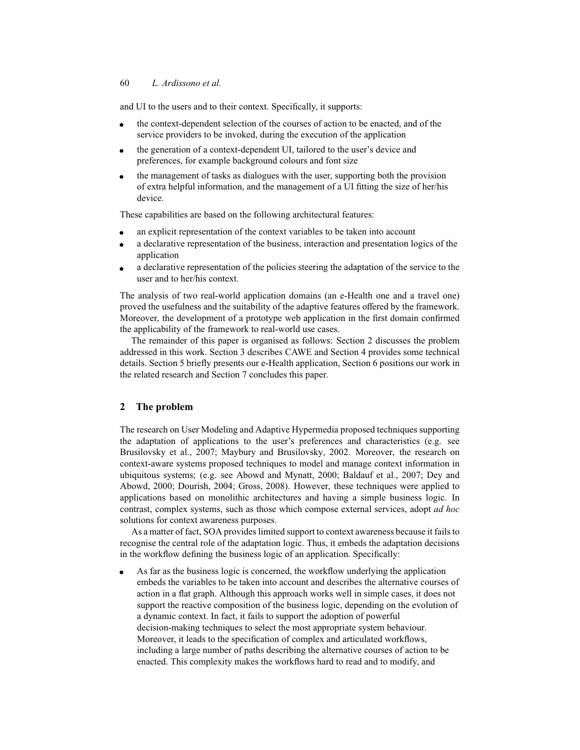and UI to the users and to their context. Specifically, it supports:

- the context-dependent selection of the courses of action to be enacted, and of the service providers to be invoked, during the execution of the application
- the generation of a context-dependent UI, tailored to the user's device and preferences, for example background colours and font size
- the management of tasks as dialogues with the user, supporting both the provision of extra helpful information, and the management of a UI fitting the size of her/his device.

These capabilities are based on the following architectural features:

- an explicit representation of the context variables to be taken into account
- a declarative representation of the business, interaction and presentation logics of the application
- a declarative representation of the policies steering the adaptation of the service to the user and to her/his context.

The analysis of two real-world application domains (an e-Health one and a travel one) proved the usefulness and the suitability of the adaptive features offered by the framework. Moreover, the development of a prototype web application in the first domain confirmed the applicability of the framework to real-world use cases.

The remainder of this paper is organised as follows: Section 2 discusses the problem addressed in this work. Section 3 describes CAWE and Section 4 provides some technical details. Section 5 briefly presents our e-Health application, Section 6 positions our work in the related research and Section 7 concludes this paper.

## **2 The problem**

The research on User Modeling and Adaptive Hypermedia proposed techniques supporting the adaptation of applications to the user's preferences and characteristics (e.g. see Brusilovsky et al., 2007; Maybury and Brusilovsky, 2002. Moreover, the research on context-aware systems proposed techniques to model and manage context information in ubiquitous systems; (e.g. see Abowd and Mynatt, 2000; Baldauf et al., 2007; Dey and Abowd, 2000; Dourish, 2004; Gross, 2008). However, these techniques were applied to applications based on monolithic architectures and having a simple business logic. In contrast, complex systems, such as those which compose external services, adopt *ad hoc* solutions for context awareness purposes.

As a matter of fact, SOA provides limited support to context awareness because it fails to recognise the central role of the adaptation logic. Thus, it embeds the adaptation decisions in the workflow defining the business logic of an application. Specifically:

As far as the business logic is concerned, the workflow underlying the application embeds the variables to be taken into account and describes the alternative courses of action in a flat graph. Although this approach works well in simple cases, it does not support the reactive composition of the business logic, depending on the evolution of a dynamic context. In fact, it fails to support the adoption of powerful decision-making techniques to select the most appropriate system behaviour. Moreover, it leads to the specification of complex and articulated workflows, including a large number of paths describing the alternative courses of action to be enacted. This complexity makes the workflows hard to read and to modify, and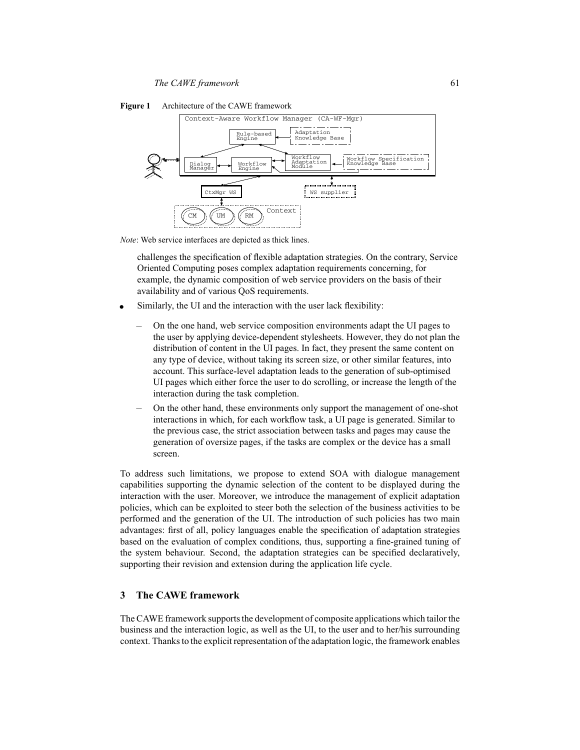



*Note*: Web service interfaces are depicted as thick lines.

challenges the specification of flexible adaptation strategies. On the contrary, Service Oriented Computing poses complex adaptation requirements concerning, for example, the dynamic composition of web service providers on the basis of their availability and of various QoS requirements.

- Similarly, the UI and the interaction with the user lack flexibility:
	- On the one hand, web service composition environments adapt the UI pages to the user by applying device-dependent stylesheets. However, they do not plan the distribution of content in the UI pages. In fact, they present the same content on any type of device, without taking its screen size, or other similar features, into account. This surface-level adaptation leads to the generation of sub-optimised UI pages which either force the user to do scrolling, or increase the length of the interaction during the task completion.
	- On the other hand, these environments only support the management of one-shot interactions in which, for each workflow task, a UI page is generated. Similar to the previous case, the strict association between tasks and pages may cause the generation of oversize pages, if the tasks are complex or the device has a small screen.

To address such limitations, we propose to extend SOA with dialogue management capabilities supporting the dynamic selection of the content to be displayed during the interaction with the user. Moreover, we introduce the management of explicit adaptation policies, which can be exploited to steer both the selection of the business activities to be performed and the generation of the UI. The introduction of such policies has two main advantages: first of all, policy languages enable the specification of adaptation strategies based on the evaluation of complex conditions, thus, supporting a fine-grained tuning of the system behaviour. Second, the adaptation strategies can be specified declaratively, supporting their revision and extension during the application life cycle.

## **3 The CAWE framework**

The CAWE framework supports the development of composite applications which tailor the business and the interaction logic, as well as the UI, to the user and to her/his surrounding context. Thanks to the explicit representation of the adaptation logic, the framework enables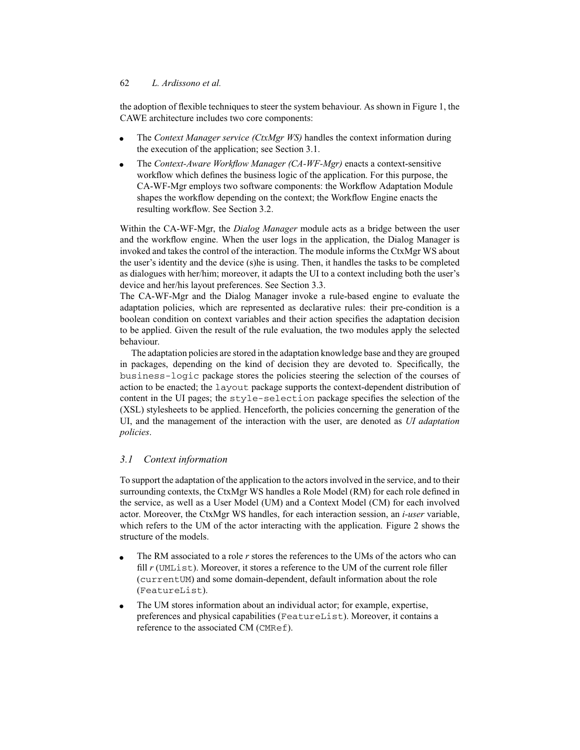the adoption of flexible techniques to steer the system behaviour. As shown in Figure 1, the CAWE architecture includes two core components:

- The *Context Manager service (CtxMgr WS)* handles the context information during the execution of the application; see Section 3.1.
- The *Context-Aware Workflow Manager (CA-WF-Mgr)* enacts a context-sensitive workflow which defines the business logic of the application. For this purpose, the CA-WF-Mgr employs two software components: the Workflow Adaptation Module shapes the workflow depending on the context; the Workflow Engine enacts the resulting workflow. See Section 3.2.

Within the CA-WF-Mgr, the *Dialog Manager* module acts as a bridge between the user and the workflow engine. When the user logs in the application, the Dialog Manager is invoked and takes the control of the interaction. The module informs the CtxMgr WS about the user's identity and the device (s)he is using. Then, it handles the tasks to be completed as dialogues with her/him; moreover, it adapts the UI to a context including both the user's device and her/his layout preferences. See Section 3.3.

The CA-WF-Mgr and the Dialog Manager invoke a rule-based engine to evaluate the adaptation policies, which are represented as declarative rules: their pre-condition is a boolean condition on context variables and their action specifies the adaptation decision to be applied. Given the result of the rule evaluation, the two modules apply the selected behaviour.

The adaptation policies are stored in the adaptation knowledge base and they are grouped in packages, depending on the kind of decision they are devoted to. Specifically, the business-logic package stores the policies steering the selection of the courses of action to be enacted; the layout package supports the context-dependent distribution of content in the UI pages; the style-selection package specifies the selection of the (XSL) stylesheets to be applied. Henceforth, the policies concerning the generation of the UI, and the management of the interaction with the user, are denoted as *UI adaptation policies*.

## *3.1 Context information*

To support the adaptation of the application to the actors involved in the service, and to their surrounding contexts, the CtxMgr WS handles a Role Model (RM) for each role defined in the service, as well as a User Model (UM) and a Context Model (CM) for each involved actor. Moreover, the CtxMgr WS handles, for each interaction session, an *i-user* variable, which refers to the UM of the actor interacting with the application. Figure 2 shows the structure of the models.

- The RM associated to a role *r* stores the references to the UMs of the actors who can fill *r* (UMList). Moreover, it stores a reference to the UM of the current role filler (currentUM) and some domain-dependent, default information about the role (FeatureList).
- The UM stores information about an individual actor; for example, expertise, preferences and physical capabilities (FeatureList). Moreover, it contains a reference to the associated CM (CMRef).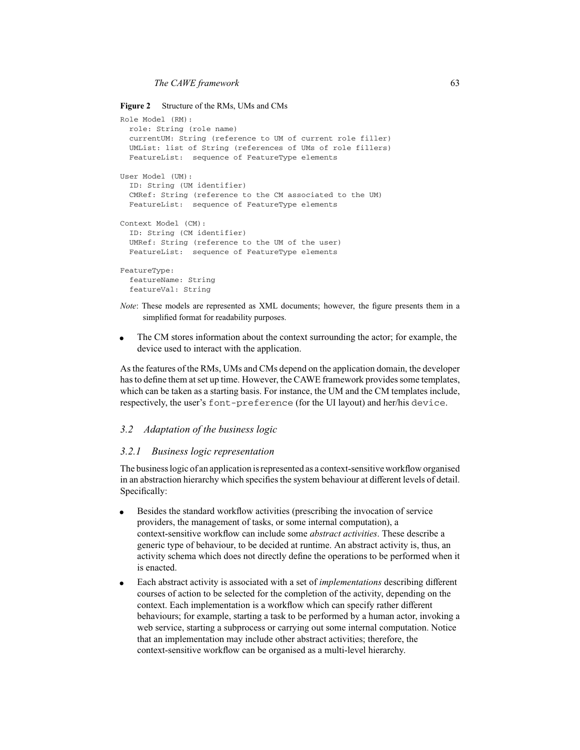#### **Figure 2** Structure of the RMs, UMs and CMs

```
Role Model (RM):
 role: String (role name)
 currentUM: String (reference to UM of current role filler)
 UMList: list of String (references of UMs of role fillers)
 FeatureList: sequence of FeatureType elements
User Model (UM):
  ID: String (UM identifier)
  CMRef: String (reference to the CM associated to the UM)
 FeatureList: sequence of FeatureType elements
Context Model (CM):
  ID: String (CM identifier)
 UMRef: String (reference to the UM of the user)
 FeatureList: sequence of FeatureType elements
FeatureType:
  featureName: String
  featureVal: String
```
- *Note*: These models are represented as XML documents; however, the figure presents them in a simplified format for readability purposes.
- The CM stores information about the context surrounding the actor; for example, the device used to interact with the application.

As the features of the RMs, UMs and CMs depend on the application domain, the developer has to define them at set up time. However, the CAWE framework provides some templates, which can be taken as a starting basis. For instance, the UM and the CM templates include, respectively, the user's font-preference (for the UI layout) and her/his device.

#### *3.2 Adaptation of the business logic*

#### *3.2.1 Business logic representation*

The business logic of an application is represented as a context-sensitive workflow organised in an abstraction hierarchy which specifies the system behaviour at different levels of detail. Specifically:

- Besides the standard workflow activities (prescribing the invocation of service providers, the management of tasks, or some internal computation), a context-sensitive workflow can include some *abstract activities*. These describe a generic type of behaviour, to be decided at runtime. An abstract activity is, thus, an activity schema which does not directly define the operations to be performed when it is enacted.
- Each abstract activity is associated with a set of *implementations* describing different courses of action to be selected for the completion of the activity, depending on the context. Each implementation is a workflow which can specify rather different behaviours; for example, starting a task to be performed by a human actor, invoking a web service, starting a subprocess or carrying out some internal computation. Notice that an implementation may include other abstract activities; therefore, the context-sensitive workflow can be organised as a multi-level hierarchy.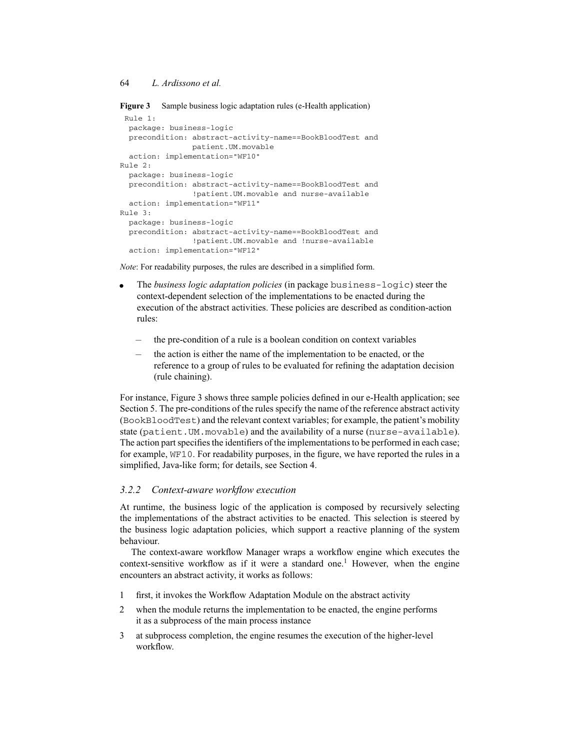**Figure 3** Sample business logic adaptation rules (e-Health application)

```
Rule 1:
 package: business-logic
 precondition: abstract-activity-name==BookBloodTest and
              patient.UM.movable
  action: implementation="WF10"
Rule 2:
 package: business-logic
  precondition: abstract-activity-name==BookBloodTest and
                !patient.UM.movable and nurse-available
  action: implementation="WF11"
Rule 3:
 package: business-logic
 precondition: abstract-activity-name==BookBloodTest and
               !patient.UM.movable and !nurse-available
  action: implementation="WF12"
```
*Note*: For readability purposes, the rules are described in a simplified form.

- The *business logic adaptation policies* (in package business-logic) steer the context-dependent selection of the implementations to be enacted during the execution of the abstract activities. These policies are described as condition-action rules:
	- the pre-condition of a rule is a boolean condition on context variables
	- the action is either the name of the implementation to be enacted, or the reference to a group of rules to be evaluated for refining the adaptation decision (rule chaining).

For instance, Figure 3 shows three sample policies defined in our e-Health application; see Section 5. The pre-conditions of the rules specify the name of the reference abstract activity (BookBloodTest) and the relevant context variables; for example, the patient's mobility state (patient.UM.movable) and the availability of a nurse (nurse-available). The action part specifies the identifiers of the implementations to be performed in each case; for example, WF10. For readability purposes, in the figure, we have reported the rules in a simplified, Java-like form; for details, see Section 4.

#### *3.2.2 Context-aware workflow execution*

At runtime, the business logic of the application is composed by recursively selecting the implementations of the abstract activities to be enacted. This selection is steered by the business logic adaptation policies, which support a reactive planning of the system behaviour.

The context-aware workflow Manager wraps a workflow engine which executes the context-sensitive workflow as if it were a standard one.<sup>1</sup> However, when the engine encounters an abstract activity, it works as follows:

- 1 first, it invokes the Workflow Adaptation Module on the abstract activity
- 2 when the module returns the implementation to be enacted, the engine performs it as a subprocess of the main process instance
- 3 at subprocess completion, the engine resumes the execution of the higher-level workflow.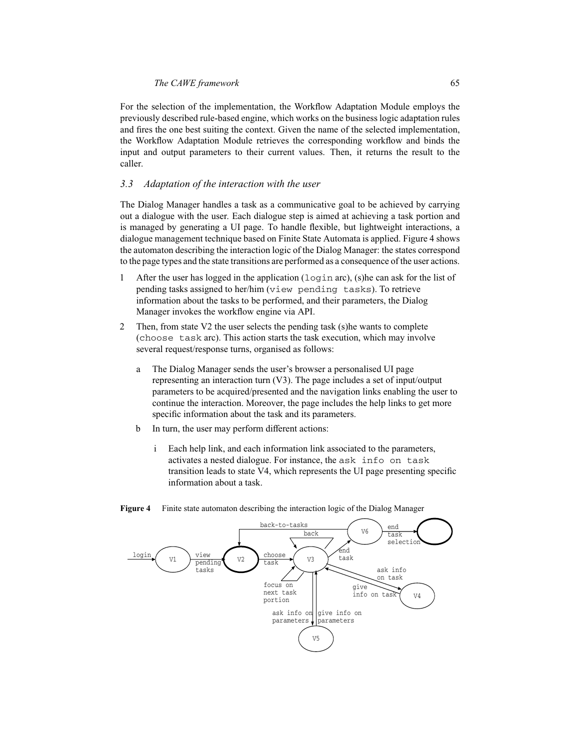For the selection of the implementation, the Workflow Adaptation Module employs the previously described rule-based engine, which works on the business logic adaptation rules and fires the one best suiting the context. Given the name of the selected implementation, the Workflow Adaptation Module retrieves the corresponding workflow and binds the input and output parameters to their current values. Then, it returns the result to the caller.

## *3.3 Adaptation of the interaction with the user*

The Dialog Manager handles a task as a communicative goal to be achieved by carrying out a dialogue with the user. Each dialogue step is aimed at achieving a task portion and is managed by generating a UI page. To handle flexible, but lightweight interactions, a dialogue management technique based on Finite State Automata is applied. Figure 4 shows the automaton describing the interaction logic of the Dialog Manager: the states correspond to the page types and the state transitions are performed as a consequence of the user actions.

- 1 After the user has logged in the application (login arc), (s)he can ask for the list of pending tasks assigned to her/him (view pending tasks). To retrieve information about the tasks to be performed, and their parameters, the Dialog Manager invokes the workflow engine via API.
- 2 Then, from state V2 the user selects the pending task (s)he wants to complete (choose task arc). This action starts the task execution, which may involve several request/response turns, organised as follows:
	- a The Dialog Manager sends the user's browser a personalised UI page representing an interaction turn (V3). The page includes a set of input/output parameters to be acquired/presented and the navigation links enabling the user to continue the interaction. Moreover, the page includes the help links to get more specific information about the task and its parameters.
	- b In turn, the user may perform different actions:
		- i Each help link, and each information link associated to the parameters, activates a nested dialogue. For instance, the ask info on task transition leads to state V4, which represents the UI page presenting specific information about a task.



**Figure 4** Finite state automaton describing the interaction logic of the Dialog Manager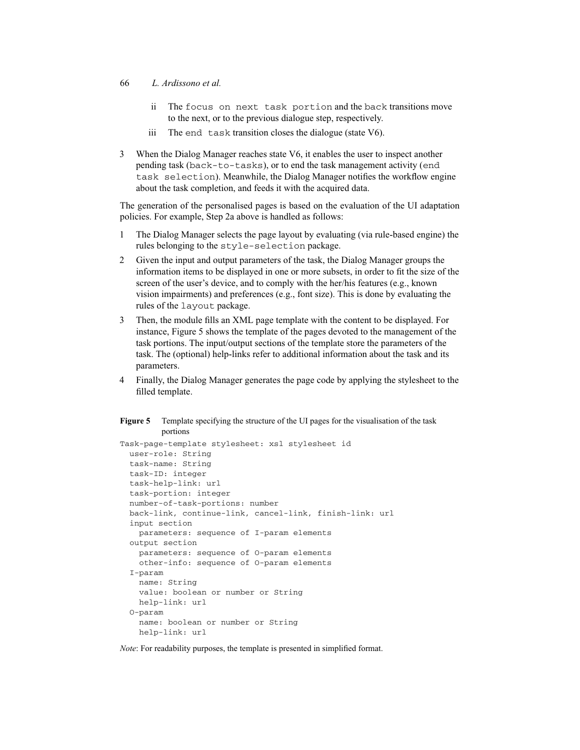- ii The focus on next task portion and the back transitions move to the next, or to the previous dialogue step, respectively.
- iii The end task transition closes the dialogue (state  $V_0$ ).
- 3 When the Dialog Manager reaches state V6, it enables the user to inspect another pending task (back-to-tasks), or to end the task management activity (end task selection). Meanwhile, the Dialog Manager notifies the workflow engine about the task completion, and feeds it with the acquired data.

The generation of the personalised pages is based on the evaluation of the UI adaptation policies. For example, Step 2a above is handled as follows:

- 1 The Dialog Manager selects the page layout by evaluating (via rule-based engine) the rules belonging to the style-selection package.
- 2 Given the input and output parameters of the task, the Dialog Manager groups the information items to be displayed in one or more subsets, in order to fit the size of the screen of the user's device, and to comply with the her/his features (e.g., known vision impairments) and preferences (e.g., font size). This is done by evaluating the rules of the layout package.
- 3 Then, the module fills an XML page template with the content to be displayed. For instance, Figure 5 shows the template of the pages devoted to the management of the task portions. The input/output sections of the template store the parameters of the task. The (optional) help-links refer to additional information about the task and its parameters.
- 4 Finally, the Dialog Manager generates the page code by applying the stylesheet to the filled template.

```
Figure 5 Template specifying the structure of the UI pages for the visualisation of the task
         portions
Task-page-template stylesheet: xsl stylesheet id
 user-role: String
 task-name: String
  task-ID: integer
  task-help-link: url
  task-portion: integer
 number-of-task-portions: number
 back-link, continue-link, cancel-link, finish-link: url
 input section
   parameters: sequence of I-param elements
  output section
   parameters: sequence of O-param elements
   other-info: sequence of O-param elements
  I-param
   name: String
    value: boolean or number or String
   help-link: url
  O-param
   name: boolean or number or String
   help-link: url
```
*Note*: For readability purposes, the template is presented in simplified format.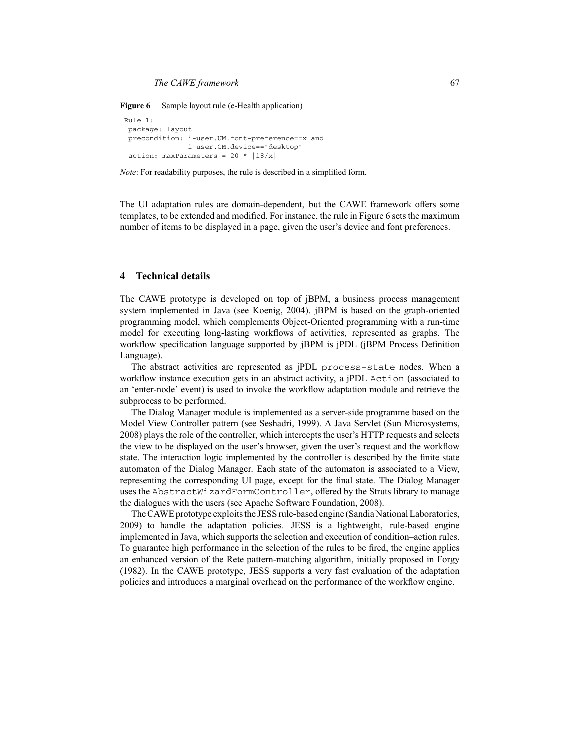```
Figure 6 Sample layout rule (e-Health application)
```

```
Rule 1:
package: layout
precondition: i-user.UM.font-preference==x and
               i-user.CM.device=="desktop"
 action: maxParameters = 20 * |18/x|
```
*Note*: For readability purposes, the rule is described in a simplified form.

The UI adaptation rules are domain-dependent, but the CAWE framework offers some templates, to be extended and modified. For instance, the rule in Figure 6 sets the maximum number of items to be displayed in a page, given the user's device and font preferences.

## **4 Technical details**

The CAWE prototype is developed on top of jBPM, a business process management system implemented in Java (see Koenig, 2004). jBPM is based on the graph-oriented programming model, which complements Object-Oriented programming with a run-time model for executing long-lasting workflows of activities, represented as graphs. The workflow specification language supported by jBPM is jPDL (jBPM Process Definition Language).

The abstract activities are represented as jPDL process-state nodes. When a workflow instance execution gets in an abstract activity, a jPDL Action (associated to an 'enter-node' event) is used to invoke the workflow adaptation module and retrieve the subprocess to be performed.

The Dialog Manager module is implemented as a server-side programme based on the Model View Controller pattern (see Seshadri, 1999). A Java Servlet (Sun Microsystems, 2008) plays the role of the controller, which intercepts the user's HTTP requests and selects the view to be displayed on the user's browser, given the user's request and the workflow state. The interaction logic implemented by the controller is described by the finite state automaton of the Dialog Manager. Each state of the automaton is associated to a View, representing the corresponding UI page, except for the final state. The Dialog Manager uses the AbstractWizardFormController, offered by the Struts library to manage the dialogues with the users (see Apache Software Foundation, 2008).

The CAWE prototype exploits the JESS rule-based engine (Sandia National Laboratories, 2009) to handle the adaptation policies. JESS is a lightweight, rule-based engine implemented in Java, which supports the selection and execution of condition–action rules. To guarantee high performance in the selection of the rules to be fired, the engine applies an enhanced version of the Rete pattern-matching algorithm, initially proposed in Forgy (1982). In the CAWE prototype, JESS supports a very fast evaluation of the adaptation policies and introduces a marginal overhead on the performance of the workflow engine.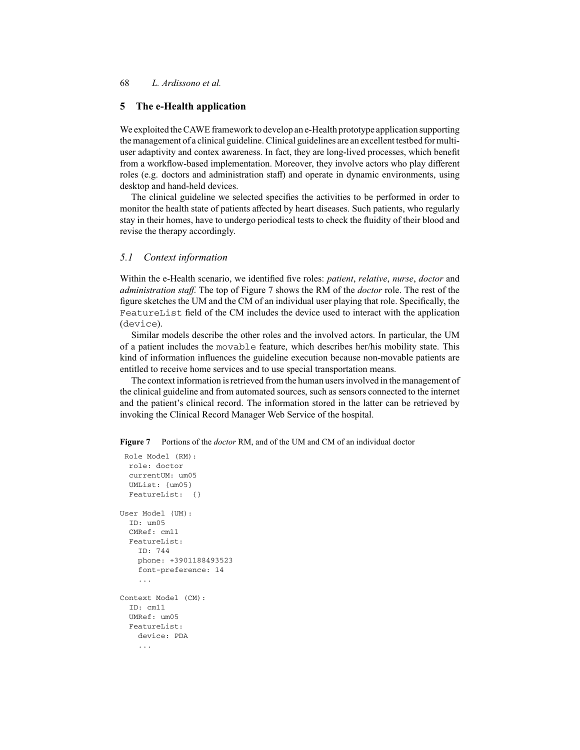#### **5 The e-Health application**

We exploited the CAWE framework to develop an e-Health prototype application supporting the management of a clinical guideline. Clinical guidelines are an excellent testbed for multiuser adaptivity and contex awareness. In fact, they are long-lived processes, which benefit from a workflow-based implementation. Moreover, they involve actors who play different roles (e.g. doctors and administration staff) and operate in dynamic environments, using desktop and hand-held devices.

The clinical guideline we selected specifies the activities to be performed in order to monitor the health state of patients affected by heart diseases. Such patients, who regularly stay in their homes, have to undergo periodical tests to check the fluidity of their blood and revise the therapy accordingly.

#### *5.1 Context information*

Within the e-Health scenario, we identified five roles: *patient*, *relative*, *nurse*, *doctor* and *administration staff*. The top of Figure 7 shows the RM of the *doctor* role. The rest of the figure sketches the UM and the CM of an individual user playing that role. Specifically, the FeatureList field of the CM includes the device used to interact with the application (device).

Similar models describe the other roles and the involved actors. In particular, the UM of a patient includes the movable feature, which describes her/his mobility state. This kind of information influences the guideline execution because non-movable patients are entitled to receive home services and to use special transportation means.

The context information is retrieved from the human users involved in the management of the clinical guideline and from automated sources, such as sensors connected to the internet and the patient's clinical record. The information stored in the latter can be retrieved by invoking the Clinical Record Manager Web Service of the hospital.

**Figure 7** Portions of the *doctor* RM, and of the UM and CM of an individual doctor

```
Role Model (RM):
 role: doctor
  currentUM: um05
 UMList: {um05}
 FeatureList: {}
User Model (UM):
 ID: um05
 CMRef: cm11
 FeatureList:
   ID: 744
    phone: +3901188493523
    font-preference: 14
    ...
Context Model (CM):
 ID: cm11
 UMRef: um05
 FeatureList:
    device: PDA
    ...
```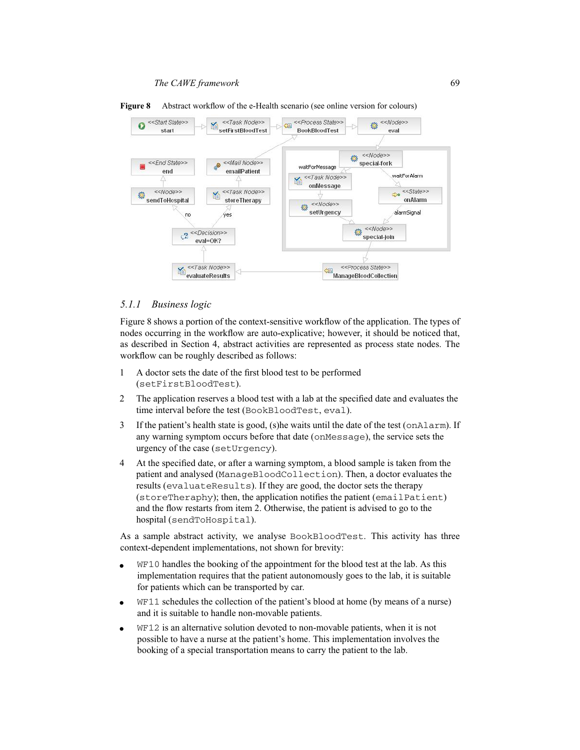

**Figure 8** Abstract workflow of the e-Health scenario (see online version for colours)

#### *5.1.1 Business logic*

Figure 8 shows a portion of the context-sensitive workflow of the application. The types of nodes occurring in the workflow are auto-explicative; however, it should be noticed that, as described in Section 4, abstract activities are represented as process state nodes. The workflow can be roughly described as follows:

- 1 A doctor sets the date of the first blood test to be performed (setFirstBloodTest).
- 2 The application reserves a blood test with a lab at the specified date and evaluates the time interval before the test (BookBloodTest, eval).
- 3 If the patient's health state is good, (s)he waits until the date of the test (onAlarm). If any warning symptom occurs before that date (onMessage), the service sets the urgency of the case (setUrgency).
- 4 At the specified date, or after a warning symptom, a blood sample is taken from the patient and analysed (ManageBloodCollection). Then, a doctor evaluates the results (evaluateResults). If they are good, the doctor sets the therapy (storeTheraphy); then, the application notifies the patient (emailPatient) and the flow restarts from item 2. Otherwise, the patient is advised to go to the hospital (sendToHospital).

As a sample abstract activity, we analyse BookBloodTest. This activity has three context-dependent implementations, not shown for brevity:

- WF10 handles the booking of the appointment for the blood test at the lab. As this implementation requires that the patient autonomously goes to the lab, it is suitable for patients which can be transported by car.
- $\bullet$  WF11 schedules the collection of the patient's blood at home (by means of a nurse) and it is suitable to handle non-movable patients.
- WF12 is an alternative solution devoted to non-movable patients, when it is not possible to have a nurse at the patient's home. This implementation involves the booking of a special transportation means to carry the patient to the lab.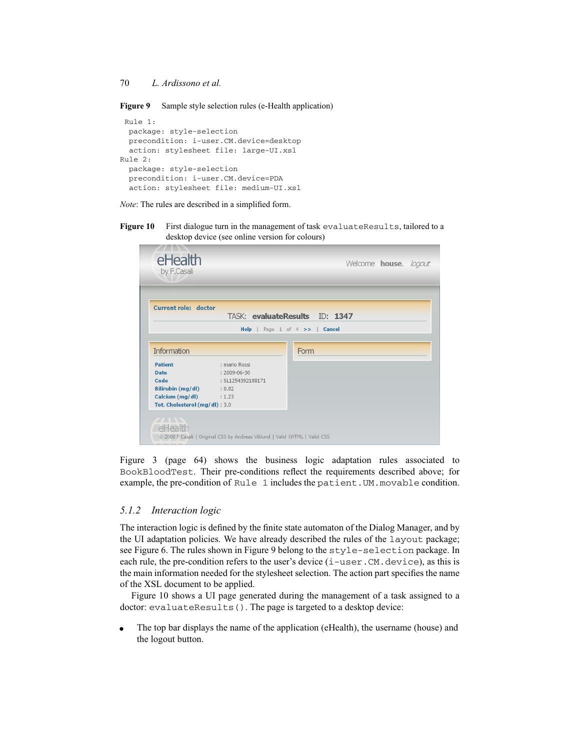**Figure 9** Sample style selection rules (e-Health application)

```
Rule 1:
 package: style-selection
 precondition: i-user.CM.device=desktop
 action: stylesheet file: large-UI.xsl
Rule 2:
 package: style-selection
 precondition: i-user.CM.device=PDA
 action: stylesheet file: medium-UI.xsl
```
*Note*: The rules are described in a simplified form.

Figure 10 First dialogue turn in the management of task evaluateResults, tailored to a desktop device (see online version for colours)



Figure 3 (page 64) shows the business logic adaptation rules associated to BookBloodTest. Their pre-conditions reflect the requirements described above; for example, the pre-condition of Rule 1 includes the patient.UM.movable condition.

## *5.1.2 Interaction logic*

The interaction logic is defined by the finite state automaton of the Dialog Manager, and by the UI adaptation policies. We have already described the rules of the layout package; see Figure 6. The rules shown in Figure 9 belong to the style-selection package. In each rule, the pre-condition refers to the user's device (i-user.CM.device), as this is the main information needed for the stylesheet selection. The action part specifies the name of the XSL document to be applied.

Figure 10 shows a UI page generated during the management of a task assigned to a doctor: evaluateResults(). The page is targeted to a desktop device:

• The top bar displays the name of the application (eHealth), the username (house) and the logout button.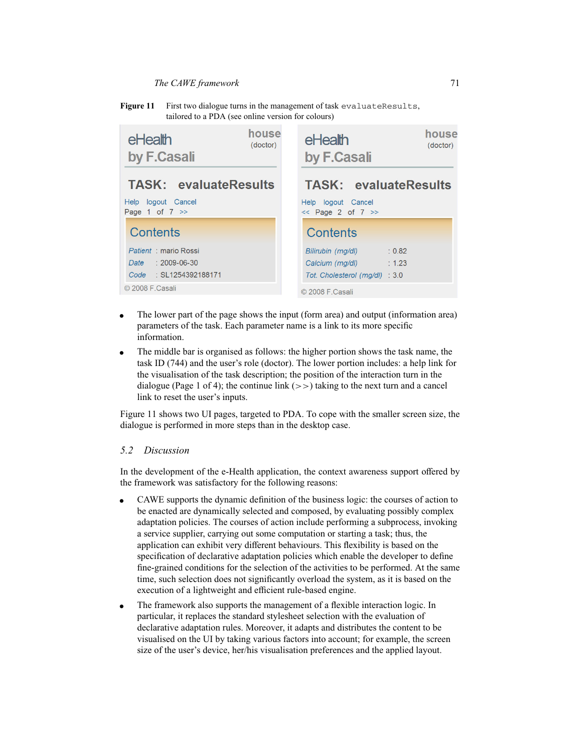## *The CAWE framework* 71

Figure 11 First two dialogue turns in the management of task evaluateResults, tailored to a PDA (see online version for colours)



- The lower part of the page shows the input (form area) and output (information area) parameters of the task. Each parameter name is a link to its more specific information.
- The middle bar is organised as follows: the higher portion shows the task name, the task ID (744) and the user's role (doctor). The lower portion includes: a help link for the visualisation of the task description; the position of the interaction turn in the dialogue (Page 1 of 4); the continue link  $(>>)$  taking to the next turn and a cancel link to reset the user's inputs.

Figure 11 shows two UI pages, targeted to PDA. To cope with the smaller screen size, the dialogue is performed in more steps than in the desktop case.

#### *5.2 Discussion*

In the development of the e-Health application, the context awareness support offered by the framework was satisfactory for the following reasons:

- CAWE supports the dynamic definition of the business logic: the courses of action to be enacted are dynamically selected and composed, by evaluating possibly complex adaptation policies. The courses of action include performing a subprocess, invoking a service supplier, carrying out some computation or starting a task; thus, the application can exhibit very different behaviours. This flexibility is based on the specification of declarative adaptation policies which enable the developer to define fine-grained conditions for the selection of the activities to be performed. At the same time, such selection does not significantly overload the system, as it is based on the execution of a lightweight and efficient rule-based engine.
- The framework also supports the management of a flexible interaction logic. In particular, it replaces the standard stylesheet selection with the evaluation of declarative adaptation rules. Moreover, it adapts and distributes the content to be visualised on the UI by taking various factors into account; for example, the screen size of the user's device, her/his visualisation preferences and the applied layout.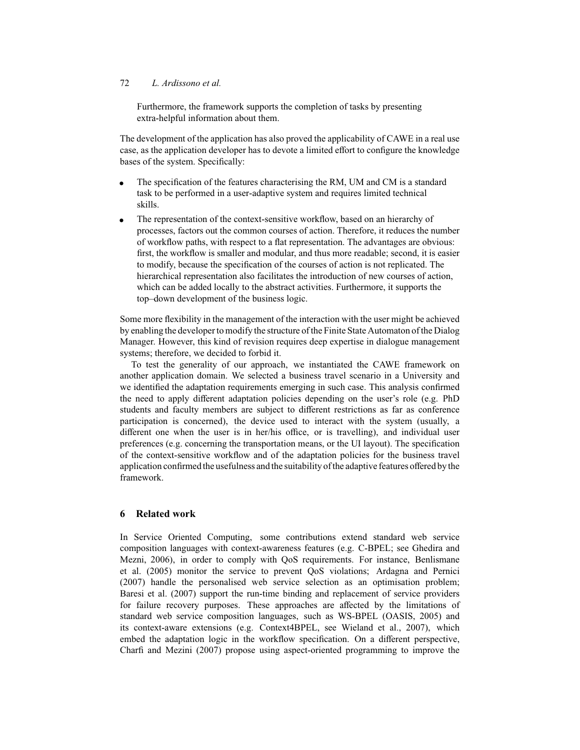Furthermore, the framework supports the completion of tasks by presenting extra-helpful information about them.

The development of the application has also proved the applicability of CAWE in a real use case, as the application developer has to devote a limited effort to configure the knowledge bases of the system. Specifically:

- The specification of the features characterising the RM, UM and CM is a standard task to be performed in a user-adaptive system and requires limited technical skills.
- The representation of the context-sensitive workflow, based on an hierarchy of processes, factors out the common courses of action. Therefore, it reduces the number of workflow paths, with respect to a flat representation. The advantages are obvious: first, the workflow is smaller and modular, and thus more readable; second, it is easier to modify, because the specification of the courses of action is not replicated. The hierarchical representation also facilitates the introduction of new courses of action, which can be added locally to the abstract activities. Furthermore, it supports the top–down development of the business logic.

Some more flexibility in the management of the interaction with the user might be achieved by enabling the developer to modify the structure of the Finite State Automaton of the Dialog Manager. However, this kind of revision requires deep expertise in dialogue management systems; therefore, we decided to forbid it.

To test the generality of our approach, we instantiated the CAWE framework on another application domain. We selected a business travel scenario in a University and we identified the adaptation requirements emerging in such case. This analysis confirmed the need to apply different adaptation policies depending on the user's role (e.g. PhD students and faculty members are subject to different restrictions as far as conference participation is concerned), the device used to interact with the system (usually, a different one when the user is in her/his office, or is travelling), and individual user preferences (e.g. concerning the transportation means, or the UI layout). The specification of the context-sensitive workflow and of the adaptation policies for the business travel application confirmed the usefulness and the suitability of the adaptive features offered by the framework.

#### **6 Related work**

In Service Oriented Computing, some contributions extend standard web service composition languages with context-awareness features (e.g. C-BPEL; see Ghedira and Mezni, 2006), in order to comply with QoS requirements. For instance, Benlismane et al. (2005) monitor the service to prevent QoS violations; Ardagna and Pernici (2007) handle the personalised web service selection as an optimisation problem; Baresi et al. (2007) support the run-time binding and replacement of service providers for failure recovery purposes. These approaches are affected by the limitations of standard web service composition languages, such as WS-BPEL (OASIS, 2005) and its context-aware extensions (e.g. Context4BPEL, see Wieland et al., 2007), which embed the adaptation logic in the workflow specification. On a different perspective, Charfi and Mezini (2007) propose using aspect-oriented programming to improve the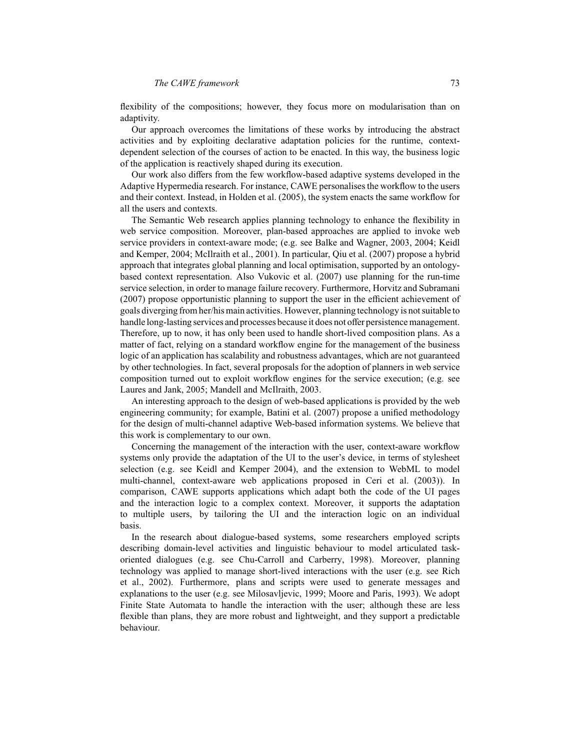flexibility of the compositions; however, they focus more on modularisation than on adaptivity.

Our approach overcomes the limitations of these works by introducing the abstract activities and by exploiting declarative adaptation policies for the runtime, contextdependent selection of the courses of action to be enacted. In this way, the business logic of the application is reactively shaped during its execution.

Our work also differs from the few workflow-based adaptive systems developed in the Adaptive Hypermedia research. For instance, CAWE personalises the workflow to the users and their context. Instead, in Holden et al. (2005), the system enacts the same workflow for all the users and contexts.

The Semantic Web research applies planning technology to enhance the flexibility in web service composition. Moreover, plan-based approaches are applied to invoke web service providers in context-aware mode; (e.g. see Balke and Wagner, 2003, 2004; Keidl and Kemper, 2004; McIlraith et al., 2001). In particular, Qiu et al. (2007) propose a hybrid approach that integrates global planning and local optimisation, supported by an ontologybased context representation. Also Vukovic et al. (2007) use planning for the run-time service selection, in order to manage failure recovery. Furthermore, Horvitz and Subramani (2007) propose opportunistic planning to support the user in the efficient achievement of goals diverging from her/his main activities. However, planning technology is not suitable to handle long-lasting services and processes because it does not offer persistence management. Therefore, up to now, it has only been used to handle short-lived composition plans. As a matter of fact, relying on a standard workflow engine for the management of the business logic of an application has scalability and robustness advantages, which are not guaranteed by other technologies. In fact, several proposals for the adoption of planners in web service composition turned out to exploit workflow engines for the service execution; (e.g. see Laures and Jank, 2005; Mandell and McIlraith, 2003.

An interesting approach to the design of web-based applications is provided by the web engineering community; for example, Batini et al. (2007) propose a unified methodology for the design of multi-channel adaptive Web-based information systems. We believe that this work is complementary to our own.

Concerning the management of the interaction with the user, context-aware workflow systems only provide the adaptation of the UI to the user's device, in terms of stylesheet selection (e.g. see Keidl and Kemper 2004), and the extension to WebML to model multi-channel, context-aware web applications proposed in Ceri et al. (2003)). In comparison, CAWE supports applications which adapt both the code of the UI pages and the interaction logic to a complex context. Moreover, it supports the adaptation to multiple users, by tailoring the UI and the interaction logic on an individual basis.

In the research about dialogue-based systems, some researchers employed scripts describing domain-level activities and linguistic behaviour to model articulated taskoriented dialogues (e.g. see Chu-Carroll and Carberry, 1998). Moreover, planning technology was applied to manage short-lived interactions with the user (e.g. see Rich et al., 2002). Furthermore, plans and scripts were used to generate messages and explanations to the user (e.g. see Milosavljevic, 1999; Moore and Paris, 1993). We adopt Finite State Automata to handle the interaction with the user; although these are less flexible than plans, they are more robust and lightweight, and they support a predictable behaviour.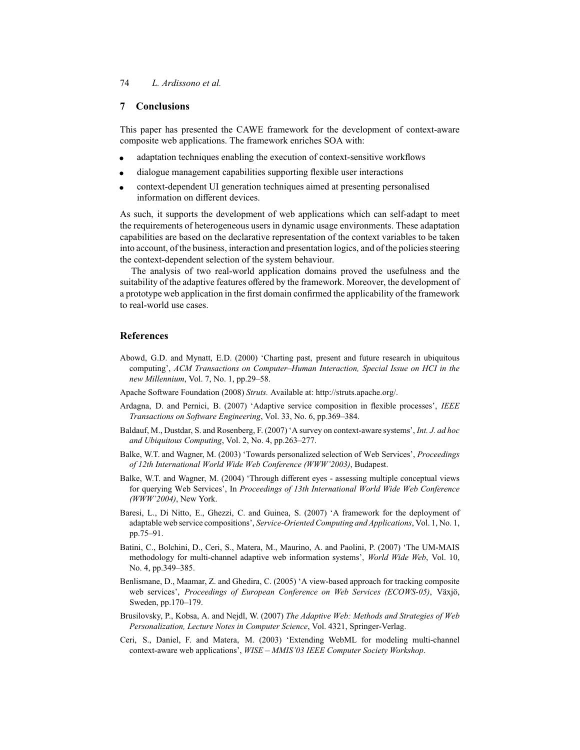#### **7 Conclusions**

This paper has presented the CAWE framework for the development of context-aware composite web applications. The framework enriches SOA with:

- adaptation techniques enabling the execution of context-sensitive workflows
- dialogue management capabilities supporting flexible user interactions
- context-dependent UI generation techniques aimed at presenting personalised information on different devices.

As such, it supports the development of web applications which can self-adapt to meet the requirements of heterogeneous users in dynamic usage environments. These adaptation capabilities are based on the declarative representation of the context variables to be taken into account, of the business, interaction and presentation logics, and of the policies steering the context-dependent selection of the system behaviour.

The analysis of two real-world application domains proved the usefulness and the suitability of the adaptive features offered by the framework. Moreover, the development of a prototype web application in the first domain confirmed the applicability of the framework to real-world use cases.

#### **References**

- Abowd, G.D. and Mynatt, E.D. (2000) 'Charting past, present and future research in ubiquitous computing', *ACM Transactions on Computer–Human Interaction, Special Issue on HCI in the new Millennium*, Vol. 7, No. 1, pp.29–58.
- Apache Software Foundation (2008) *Struts.* Available at: http://struts.apache.org/.
- Ardagna, D. and Pernici, B. (2007) 'Adaptive service composition in flexible processes', *IEEE Transactions on Software Engineering*, Vol. 33, No. 6, pp.369–384.
- Baldauf, M., Dustdar, S. and Rosenberg, F. (2007) 'A survey on context-aware systems', *Int. J. ad hoc and Ubiquitous Computing*, Vol. 2, No. 4, pp.263–277.
- Balke, W.T. and Wagner, M. (2003) 'Towards personalized selection of Web Services', *Proceedings of 12th International World Wide Web Conference (WWW'2003)*, Budapest.
- Balke, W.T. and Wagner, M. (2004) 'Through different eyes assessing multiple conceptual views for querying Web Services', In *Proceedings of 13th International World Wide Web Conference (WWW'2004)*, New York.
- Baresi, L., Di Nitto, E., Ghezzi, C. and Guinea, S. (2007) 'A framework for the deployment of adaptable web service compositions', *Service-Oriented Computing and Applications*, Vol. 1, No. 1, pp.75–91.
- Batini, C., Bolchini, D., Ceri, S., Matera, M., Maurino, A. and Paolini, P. (2007) 'The UM-MAIS methodology for multi-channel adaptive web information systems', *World Wide Web*, Vol. 10, No. 4, pp.349–385.
- Benlismane, D., Maamar, Z. and Ghedira, C. (2005) 'A view-based approach for tracking composite web services', *Proceedings of European Conference on Web Services (ECOWS-05)*, Växjö, Sweden, pp.170–179.
- Brusilovsky, P., Kobsa, A. and Nejdl, W. (2007) *The Adaptive Web: Methods and Strategies of Web Personalization, Lecture Notes in Computer Science*, Vol. 4321, Springer-Verlag.
- Ceri, S., Daniel, F. and Matera, M. (2003) 'Extending WebML for modeling multi-channel context-aware web applications', *WISE – MMIS'03 IEEE Computer Society Workshop*.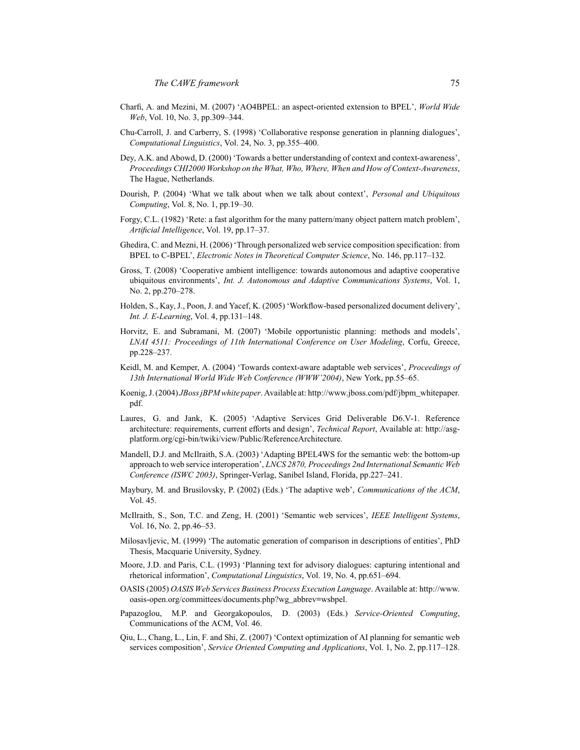- Charfi, A. and Mezini, M. (2007) 'AO4BPEL: an aspect-oriented extension to BPEL', *World Wide Web*, Vol. 10, No. 3, pp.309–344.
- Chu-Carroll, J. and Carberry, S. (1998) 'Collaborative response generation in planning dialogues', *Computational Linguistics*, Vol. 24, No. 3, pp.355–400.
- Dey, A.K. and Abowd, D. (2000) 'Towards a better understanding of context and context-awareness', *Proceedings CHI2000 Workshop on the What, Who, Where, When and How of Context-Awareness*, The Hague, Netherlands.
- Dourish, P. (2004) 'What we talk about when we talk about context', *Personal and Ubiquitous Computing*, Vol. 8, No. 1, pp.19–30.
- Forgy, C.L. (1982) 'Rete: a fast algorithm for the many pattern/many object pattern match problem', *Artificial Intelligence*, Vol. 19, pp.17–37.
- Ghedira, C. and Mezni, H. (2006) 'Through personalized web service composition specification: from BPEL to C-BPEL', *Electronic Notes in Theoretical Computer Science*, No. 146, pp.117–132.
- Gross, T. (2008) 'Cooperative ambient intelligence: towards autonomous and adaptive cooperative ubiquitous environments', *Int. J. Autonomous and Adaptive Communications Systems*, Vol. 1, No. 2, pp.270–278.
- Holden, S., Kay, J., Poon, J. and Yacef, K. (2005) 'Workflow-based personalized document delivery', *Int. J. E-Learning*, Vol. 4, pp.131–148.
- Horvitz, E. and Subramani, M. (2007) 'Mobile opportunistic planning: methods and models', *LNAI 4511: Proceedings of 11th International Conference on User Modeling*, Corfu, Greece, pp.228–237.
- Keidl, M. and Kemper, A. (2004) 'Towards context-aware adaptable web services', *Proceedings of 13th International World Wide Web Conference (WWW'2004)*, New York, pp.55–65.
- Koenig, J. (2004) *JBoss jBPM white paper*. Available at: http://www.jboss.com/pdf/jbpm\_whitepaper. pdf.
- Laures, G. and Jank, K. (2005) 'Adaptive Services Grid Deliverable D6.V-1. Reference architecture: requirements, current efforts and design', *Technical Report*, Available at: http://asgplatform.org/cgi-bin/twiki/view/Public/ReferenceArchitecture.
- Mandell, D.J. and McIlraith, S.A. (2003) 'Adapting BPEL4WS for the semantic web: the bottom-up approach to web service interoperation', *LNCS 2870, Proceedings 2nd International Semantic Web Conference (ISWC 2003)*, Springer-Verlag, Sanibel Island, Florida, pp.227–241.
- Maybury, M. and Brusilovsky, P. (2002) (Eds.) 'The adaptive web', *Communications of the ACM*, Vol. 45.
- McIlraith, S., Son, T.C. and Zeng, H. (2001) 'Semantic web services', *IEEE Intelligent Systems*, Vol. 16, No. 2, pp.46–53.
- Milosavljevic, M. (1999) 'The automatic generation of comparison in descriptions of entities', PhD Thesis, Macquarie University, Sydney.
- Moore, J.D. and Paris, C.L. (1993) 'Planning text for advisory dialogues: capturing intentional and rhetorical information', *Computational Linguistics*, Vol. 19, No. 4, pp.651–694.
- OASIS (2005) *OASIS Web Services Business Process Execution Language*. Available at: http://www. oasis-open.org/committees/documents.php?wg\_abbrev=wsbpel.
- Papazoglou, M.P. and Georgakopoulos, D. (2003) (Eds.) *Service-Oriented Computing*, Communications of the ACM, Vol. 46.
- Qiu, L., Chang, L., Lin, F. and Shi, Z. (2007) 'Context optimization of AI planning for semantic web services composition', *Service Oriented Computing and Applications*, Vol. 1, No. 2, pp.117–128.